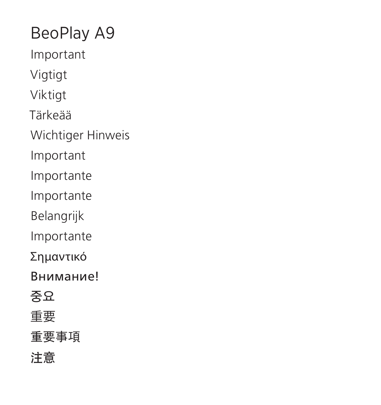BeoPlay A9 Important Vigtigt Viktigt Tärkeää Wichtiger Hinweis Important Importante Importante Belangrijk Importante Σημαντικό Внимание! **중요** 重要 重要事項 注意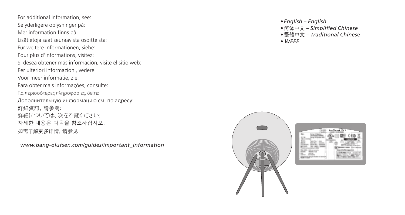For additional information, see: Se yderligere oplysninger på: Mer information finns på: Lisätietoja saat seuraavista osoitteista: Für weitere Informationen, siehe: Pour plus d'informations, visitez: Si desea obtener más información, visite el sitio web: Per ulteriori informazioni, vedere: Voor meer informatie, zie: Para obter mais informações, consulte: Για περισσότερες πληροφορίες, δείτε: Дополнительную информацию см. по адресу: 詳細資訊,請參閱: 詳細については、次をご覧ください: 자세한 내용은 다음을 참조하십시오. 如需了解更多详情 ,请参见:

*www.bang-olufsen.com/guides/important\_information* 

- 
- *•English English •*简体中文 *Simplified Chinese*
- *•*繁體中文 *Traditional Chinese*
- *WEEE*



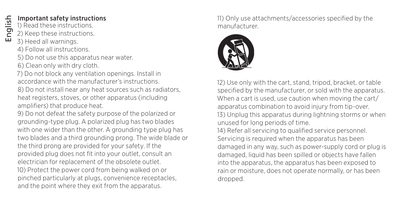### Important safety instructions

- 1) Read these instructions.
- 2) Keep these instructions.
- 3) Heed all warnings.
- 4) Follow all instructions.
- 5) Do not use this apparatus near water.
- 6) Clean only with dry cloth.
- 7) Do not block any ventilation openings. Install in accordance with the manufacturer's instructions.
- 8) Do not install near any heat sources such as radiators, heat registers, stoves, or other apparatus (including amplifiers) that produce heat.
- 9) Do not defeat the safety purpose of the polarized or grounding-type plug. A polarized plug has two blades with one wider than the other. A grounding type plug has two blades and a third grounding prong. The wide blade or the third prong are provided for your safety. If the provided plug does not fit into your outlet, consult an electrician for replacement of the obsolete outlet. 10) Protect the power cord from being walked on or pinched particularly at plugs, convenience receptacles, and the point where they exit from the apparatus.

11) Only use attachments/accessories specified by the manufacturer.



12) Use only with the cart, stand, tripod, bracket, or table specified by the manufacturer, or sold with the apparatus. When a cart is used, use caution when moving the cart/ apparatus combination to avoid injury from tip-over. 13) Unplug this apparatus during lightning storms or when unused for long periods of time. 14) Refer all servicing to qualified service personnel.

Servicing is required when the apparatus has been damaged in any way, such as power-supply cord or plug is damaged, liquid has been spilled or objects have fallen into the apparatus, the apparatus has been exposed to rain or moisture, does not operate normally, or has been dropped.

English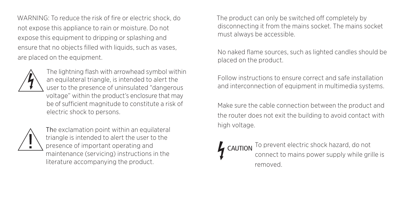WARNING: To reduce the risk of fire or electric shock, do not expose this appliance to rain or moisture. Do not expose this equipment to dripping or splashing and ensure that no objects filled with liquids, such as vases. are placed on the equipment.



The lightning flash with arrowhead symbol within an equilateral triangle, is intended to alert the user to the presence of uninsulated "dangerous voltage" within the product's enclosure that may be of sufficient magnitude to constitute a risk of electric shock to persons.



The exclamation point within an equilateral triangle is intended to alert the user to the presence of important operating and maintenance (servicing) instructions in the literature accompanying the product.

The product can only be switched off completely by disconnecting it from the mains socket. The mains socket must always be accessible.

No naked flame sources, such as lighted candles should be placed on the product.

Follow instructions to ensure correct and safe installation and interconnection of equipment in multimedia systems.

Make sure the cable connection between the product and the router does not exit the building to avoid contact with high voltage.

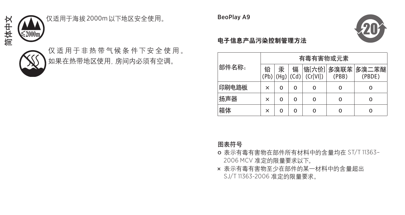简体中文



## 仅适用于海拔 2000m以下地区安全使用。

仅适用于非热带气候条件下安全使用。 。<br>如果在热带地区使用, 房间内必须有空调。  $\mathbb K$ 市地区民用,历回内公次月王坰。 BeoPlay A9



#### 电子信息产品污染控制管理方法  $\mathbf{E} \mathbf{P}$ uting: $\mathbf{P} \mathbf{P}$

| J - I- 3ベ IP - V l失 ホ IT I ' 乂 土 l乂 /TJ 。 |       |          |                         |   |         |          |                            |
|-------------------------------------------|-------|----------|-------------------------|---|---------|----------|----------------------------|
| !:带地区使用, 房间内必须有空调。                        |       | 有毒有害物或元素 |                         |   |         |          |                            |
|                                           | 部件名称: | 铅        | 汞<br>(Pb)   (Hq)   (Cd) | 镉 | (Cr[V]] | (PBB)    | 铬[六价] 多溴联苯 多溴二苯醚<br>(PBDE) |
|                                           | 印刷电路板 | ×        | o                       |   | 0       | o        | Ω                          |
|                                           | 扬声器   | ×        | o                       |   | 0       | $\Omega$ | Ω                          |
|                                           | 箱体    | ×        | 0                       |   | 0       | 0        | Ω                          |

图表符号

- o 表示有毒有害物在部件所有材料中的含量均在 ST/T 11363– 2006 MCV 准定的限量要求以下。
- × 表示有毒有害物至少在部件的某一材料中的含量超出 SJ/T 11363-2006 准定的限量要求。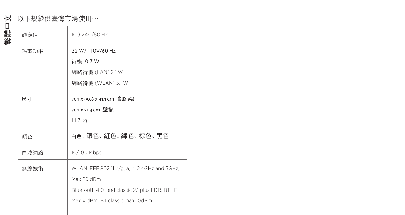# 以下規範供臺灣市場使用… 繁體中文

| 額定值  | 100 VAC/60 HZ                                 |  |  |  |
|------|-----------------------------------------------|--|--|--|
| 耗電功率 | 22 W/ 110V/60 Hz                              |  |  |  |
|      | 待機: 0.3 W                                     |  |  |  |
|      | 網路待機 (LAN) 2.1 W                              |  |  |  |
|      | 網路待機 (WLAN) 3.1 W                             |  |  |  |
| 尺寸   | 70.1 x 90.8 x 41.1 cm (含腳架)                   |  |  |  |
|      | 70.1 X 21.3 cm (壁掛)                           |  |  |  |
|      | 14.7 kg                                       |  |  |  |
| 顏色   | 百鱼、銀色、紅色、綠色、棕色、黑色                             |  |  |  |
| 區域網路 | 10/100 Mbps                                   |  |  |  |
| 無線技術 | WLAN IEEE 802.11 b/g, a, n. 2.4GHz and 5GHz,  |  |  |  |
|      | Max 20 dBm                                    |  |  |  |
|      | Bluetooth 4.0 and classic 2.1 plus EDR, BT LE |  |  |  |
|      | Max 4 dBm. BT classic max 10dBm               |  |  |  |
|      |                                               |  |  |  |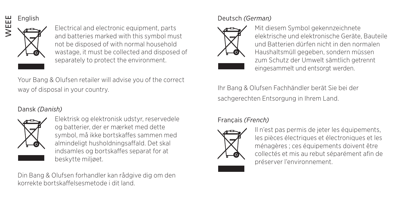#### English



Electrical and electronic equipment, parts and batteries marked with this symbol must not be disposed of with normal household wastage, it must be collected and disposed of separately to protect the environment.

Your Bang & Olufsen retailer will advise you of the correct way of disposal in your country.

#### Dansk *(Danish)*



Elektrisk og elektronisk udstyr, reservedele og batterier, der er mærket med dette symbol, må ikke bortskaffes sammen med almindeligt husholdningsaffald. Det skal indsamles og bortskaffes separat for at beskytte miljøet.

Din Bang & Olufsen forhandler kan rådgive dig om den korrekte bortskaffelsesmetode i dit land.

#### Deutsch *(German)*



Mit diesem Symbol gekennzeichnete elektrische und elektronische Geräte, Bauteile und Batterien dürfen nicht in den normalen Haushaltsmüll gegeben, sondern müssen zum Schutz der Umwelt sämtlich getrennt eingesammelt und entsorgt werden.

Ihr Bang & Olufsen Fachhändler berät Sie bei der sachgerechten Entsorgung in Ihrem Land.

#### Français *(French)*



Il n'est pas permis de jeter les équipements, les pièces électriques et électroniques et les ménagères ; ces équipements doivent être collectés et mis au rebut séparément afin de préserver l'environnement.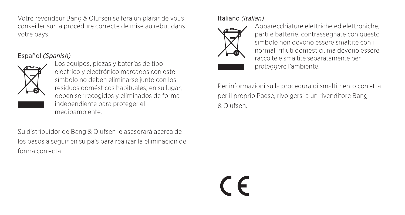Votre revendeur Bang & Olufsen se fera un plaisir de vous conseiller sur la procédure correcte de mise au rebut dans votre pays.

#### Español *(Spanish)*



Los equipos, piezas y baterías de tipo eléctrico y electrónico marcados con este símbolo no deben eliminarse junto con los residuos domésticos habituales; en su lugar, deben ser recogidos y eliminados de forma independiente para proteger el medioambiente.

Su distribuidor de Bang & Olufsen le asesorará acerca de los pasos a seguir en su país para realizar la eliminación de forma correcta.

Italiano *(Italian)*



Apparecchiature elettriche ed elettroniche, parti e batterie, contrassegnate con questo simbolo non devono essere smaltite con i normali rifiuti domestici, ma devono essere raccolte e smaltite separatamente per proteggere l'ambiente.

Per informazioni sulla procedura di smaltimento corretta per il proprio Paese, rivolgersi a un rivenditore Bang & Olufsen.

 $\epsilon$